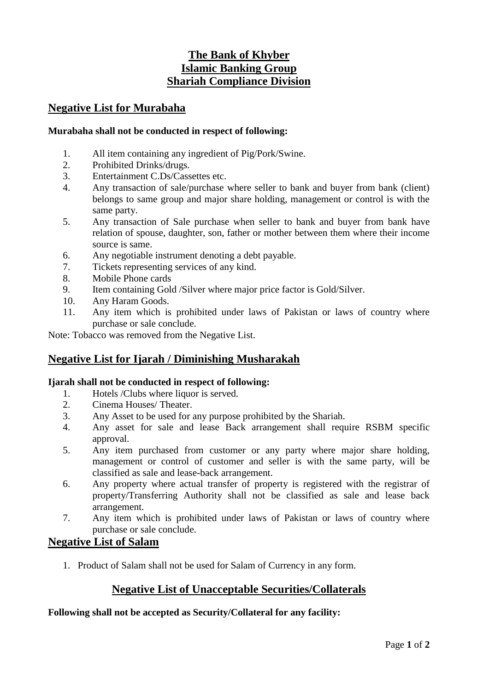# **The Bank of Khyber Islamic Banking Group Shariah Compliance Division**

### **Negative List for Murabaha**

#### **Murabaha shall not be conducted in respect of following:**

- 1. All item containing any ingredient of Pig/Pork/Swine.
- 2. Prohibited Drinks/drugs.
- 3. Entertainment C.Ds/Cassettes etc.
- 4. Any transaction of sale/purchase where seller to bank and buyer from bank (client) belongs to same group and major share holding, management or control is with the same party.
- 5. Any transaction of Sale purchase when seller to bank and buyer from bank have relation of spouse, daughter, son, father or mother between them where their income source is same.
- 6. Any negotiable instrument denoting a debt payable.
- 7. Tickets representing services of any kind.
- 8. Mobile Phone cards
- 9. Item containing Gold /Silver where major price factor is Gold/Silver.
- 10. Any Haram Goods.
- 11. Any item which is prohibited under laws of Pakistan or laws of country where purchase or sale conclude.

Note: Tobacco was removed from the Negative List.

# **Negative List for Ijarah / Diminishing Musharakah**

#### **Ijarah shall not be conducted in respect of following:**

- 1. Hotels /Clubs where liquor is served.
- 2. Cinema Houses/ Theater.
- 3. Any Asset to be used for any purpose prohibited by the Shariah.
- 4. Any asset for sale and lease Back arrangement shall require RSBM specific approval.
- 5. Any item purchased from customer or any party where major share holding, management or control of customer and seller is with the same party, will be classified as sale and lease-back arrangement.
- 6. Any property where actual transfer of property is registered with the registrar of property/Transferring Authority shall not be classified as sale and lease back arrangement.
- 7. Any item which is prohibited under laws of Pakistan or laws of country where purchase or sale conclude.

### **Negative List of Salam**

1. Product of Salam shall not be used for Salam of Currency in any form.

# **Negative List of Unacceptable Securities/Collaterals**

#### **Following shall not be accepted as Security/Collateral for any facility:**